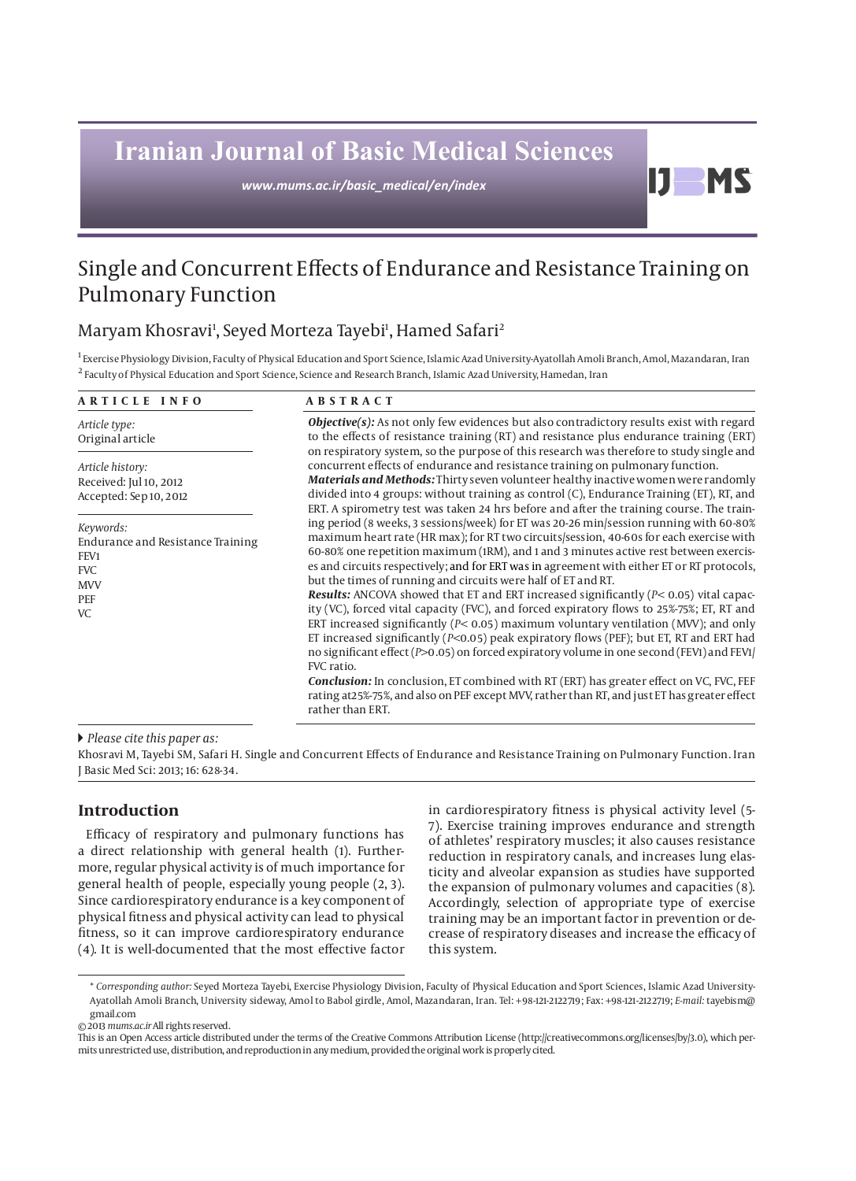# **Iranian Journal of Basic Medical Sciences**

*www.mums.ac.ir/basic\_medical/en/index*

## Single and Concurrent Effects of Endurance and Resistance Training on Pulmonary Function

### Maryam Khosravi<sup>ı</sup>, Seyed Morteza Tayebi<sup>ı</sup>, Hamed Safari<sup>2</sup>

<sup>1</sup> Exercise Physiology Division, Faculty of Physical Education and Sport Science, Islamic Azad University-Ayatollah Amoli Branch, Amol, Mazandaran, Iran <sup>2</sup> Faculty of Physical Education and Sport Science, Science and Research Branch, Islamic Azad University, Hamedan, Iran

| ARTICLE INFO                                                                                                  | <b>ABSTRACT</b>                                                                                                                                                                                                                                                                                                                                                                                                                                                                                                                                                                                                                                                                                                                                                                                                                                                                                                                                                                                                                                                                                                                                                      |  |  |
|---------------------------------------------------------------------------------------------------------------|----------------------------------------------------------------------------------------------------------------------------------------------------------------------------------------------------------------------------------------------------------------------------------------------------------------------------------------------------------------------------------------------------------------------------------------------------------------------------------------------------------------------------------------------------------------------------------------------------------------------------------------------------------------------------------------------------------------------------------------------------------------------------------------------------------------------------------------------------------------------------------------------------------------------------------------------------------------------------------------------------------------------------------------------------------------------------------------------------------------------------------------------------------------------|--|--|
| Article type:<br>Original article                                                                             | <b>Objective(s):</b> As not only few evidences but also contradictory results exist with regard<br>to the effects of resistance training (RT) and resistance plus endurance training (ERT)<br>on respiratory system, so the purpose of this research was therefore to study single and<br>concurrent effects of endurance and resistance training on pulmonary function.<br><b>Materials and Methods:</b> Thirty seven volunteer healthy inactive women were randomly<br>divided into 4 groups: without training as control (C), Endurance Training (ET), RT, and<br>ERT. A spirometry test was taken 24 hrs before and after the training course. The train-                                                                                                                                                                                                                                                                                                                                                                                                                                                                                                        |  |  |
| Article history:<br>Received: Jul 10, 2012<br>Accepted: Sep 10, 2012                                          |                                                                                                                                                                                                                                                                                                                                                                                                                                                                                                                                                                                                                                                                                                                                                                                                                                                                                                                                                                                                                                                                                                                                                                      |  |  |
| Keywords:<br><b>Endurance and Resistance Training</b><br>FEV1<br><b>FVC</b><br><b>MVV</b><br>PEF<br><b>VC</b> | ing period (8 weeks, 3 sessions/week) for ET was 20-26 min/session running with 60-80%<br>maximum heart rate (HR max); for RT two circuits/session, 40-60s for each exercise with<br>60-80% one repetition maximum (1RM), and 1 and 3 minutes active rest between exercis-<br>es and circuits respectively; and for ERT was in agreement with either ET or RT protocols,<br>but the times of running and circuits were half of ET and RT.<br><b>Results:</b> ANCOVA showed that ET and ERT increased significantly $(P< 0.05)$ vital capac-<br>ity (VC), forced vital capacity (FVC), and forced expiratory flows to 25%-75%; ET, RT and<br>ERT increased significantly ( $P$ < 0.05) maximum voluntary ventilation (MVV); and only<br>ET increased significantly ( $P<0.05$ ) peak expiratory flows (PEF); but ET, RT and ERT had<br>no significant effect (P>0.05) on forced expiratory volume in one second (FEV1) and FEV1/<br>FVC ratio.<br><b>Conclusion:</b> In conclusion, ET combined with RT (ERT) has greater effect on VC, FVC, FEF<br>rating at 25%-75%, and also on PEF except MVV, rather than RT, and just ET has greater effect<br>rather than ERT. |  |  |

#### *Please cite this paper as:*

Khosravi M, Tayebi SM, Safari H. Single and Concurrent Effects of Endurance and Resistance Training on Pulmonary Function. Iran J Basic Med Sci: 2013; 16: 628-34.

#### **Introduction**

Efficacy of respiratory and pulmonary functions has a direct relationship with general health (1). Furthermore, regular physical activity is of much importance for general health of people, especially young people (2, 3). Since cardiorespiratory endurance is a key component of physical fitness and physical activity can lead to physical fitness, so it can improve cardiorespiratory endurance (4). It is well-documented that the most effective factor

in cardiorespiratory fitness is physical activity level (5- 7). Exercise training improves endurance and strength of athletes' respiratory muscles; it also causes resistance reduction in respiratory canals, and increases lung elasticity and alveolar expansion as studies have supported the expansion of pulmonary volumes and capacities (8). Accordingly, selection of appropriate type of exercise training may be an important factor in prevention or decrease of respiratory diseases and increase the efficacy of this system.

D.

**MS** 

<sup>\*</sup> *Corresponding author:* Seyed Morteza Tayebi, Exercise Physiology Division, Faculty of Physical Education and Sport Sciences, Islamic Azad University-Ayatollah Amoli Branch, University sideway, Amol to Babol girdle, Amol, Mazandaran, Iran. Tel: +98-121-2122719; Fax: +98-121-2122719; *E-mail:* tayebism@ gmail.com

<sup>© 2013</sup> *mums.ac.ir* All rights reserved.

This is an Open Access article distributed under the terms of the Creative Commons Attribution License (http://creativecommons.org/licenses/by/3.0), which permits unrestricted use, distribution, and reproduction in any medium, provided the original work is properly cited.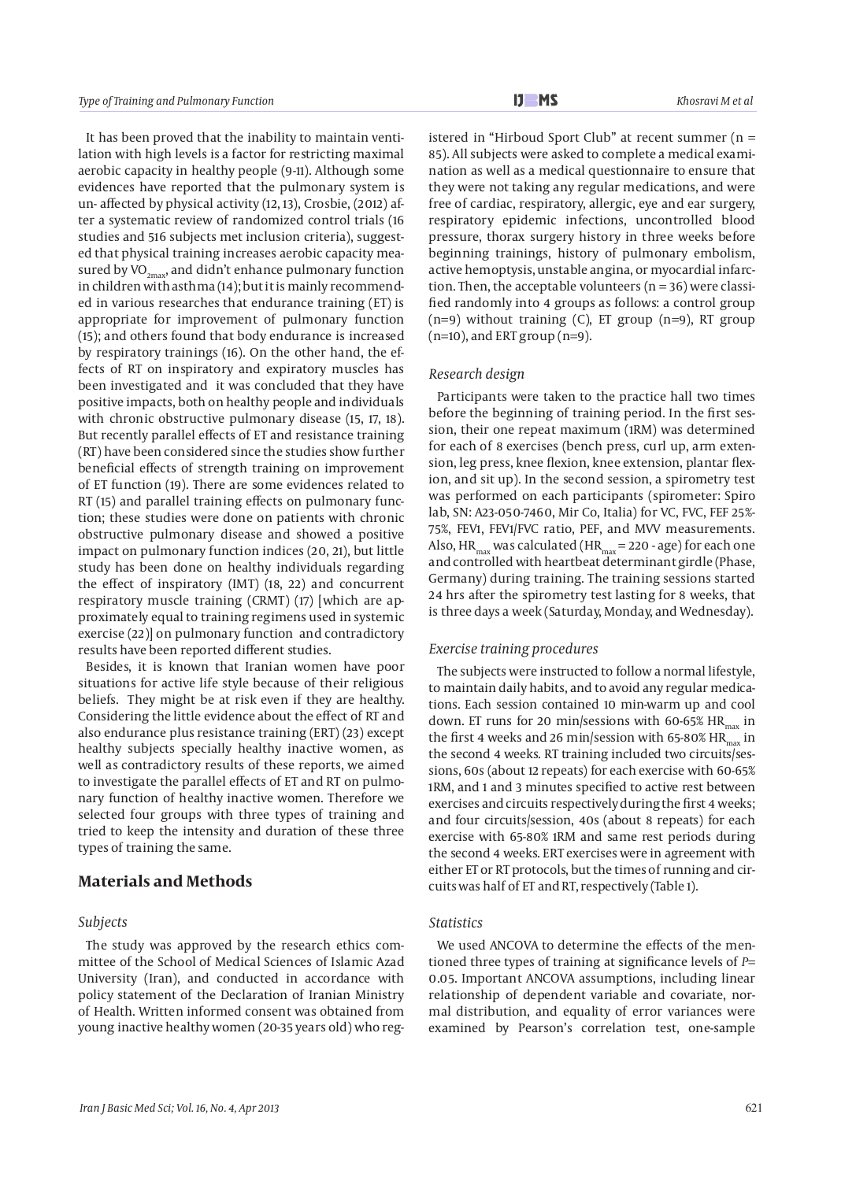It has been proved that the inability to maintain ventilation with high levels is a factor for restricting maximal aerobic capacity in healthy people (9-11). Although some evidences have reported that the pulmonary system is un- affected by physical activity (12, 13), Crosbie, (2012) after a systematic review of randomized control trials (16 studies and 516 subjects met inclusion criteria), suggested that physical training increases aerobic capacity measured by VO<sub>2max</sub>, and didn't enhance pulmonary function in children with asthma (14); but it is mainly recommended in various researches that endurance training (ET) is appropriate for improvement of pulmonary function (15); and others found that body endurance is increased by respiratory trainings (16). On the other hand, the effects of RT on inspiratory and expiratory muscles has been investigated and it was concluded that they have positive impacts, both on healthy people and individuals with chronic obstructive pulmonary disease (15, 17, 18). But recently parallel effects of ET and resistance training (RT) have been considered since the studies show further beneficial effects of strength training on improvement of ET function (19). There are some evidences related to RT (15) and parallel training effects on pulmonary function; these studies were done on patients with chronic obstructive pulmonary disease and showed a positive impact on pulmonary function indices (20, 21), but little study has been done on healthy individuals regarding the effect of inspiratory (IMT) (18, 22) and concurrent respiratory muscle training (CRMT) (17) [which are approximately equal to training regimens used in systemic exercise (22)] on pulmonary function and contradictory results have been reported different studies.

Besides, it is known that Iranian women have poor situations for active life style because of their religious beliefs. They might be at risk even if they are healthy. Considering the little evidence about the effect of RT and also endurance plus resistance training (ERT) (23) except healthy subjects specially healthy inactive women, as well as contradictory results of these reports, we aimed to investigate the parallel effects of ET and RT on pulmonary function of healthy inactive women. Therefore we selected four groups with three types of training and tried to keep the intensity and duration of these three types of training the same.

#### **Materials and Methods**

#### *Subjects*

The study was approved by the research ethics committee of the School of Medical Sciences of Islamic Azad University (Iran), and conducted in accordance with policy statement of the Declaration of Iranian Ministry of Health. Written informed consent was obtained from young inactive healthy women (20-35 years old) who reg-

istered in "Hirboud Sport Club" at recent summer ( $n =$ 85). All subjects were asked to complete a medical examination as well as a medical questionnaire to ensure that they were not taking any regular medications, and were free of cardiac, respiratory, allergic, eye and ear surgery, respiratory epidemic infections, uncontrolled blood pressure, thorax surgery history in three weeks before beginning trainings, history of pulmonary embolism, active hemoptysis, unstable angina, or myocardial infarction. Then, the acceptable volunteers ( $n = 36$ ) were classified randomly into 4 groups as follows: a control group  $(n=9)$  without training  $(C)$ , ET group  $(n=9)$ , RT group (n=10), and ERT group (n=9).

#### *Research design*

Participants were taken to the practice hall two times before the beginning of training period. In the first session, their one repeat maximum (1RM) was determined for each of 8 exercises (bench press, curl up, arm extension, leg press, knee flexion, knee extension, plantar flexion, and sit up). In the second session, a spirometry test was performed on each participants (spirometer: Spiro lab, SN: A23-050-7460, Mir Co, Italia) for VC, FVC, FEF 25%- 75%, FEV1, FEV1/FVC ratio, PEF, and MVV measurements. Also,  $HR_{max}$  was calculated ( $HR_{max}$  = 220 - age) for each one and controlled with heartbeat determinant girdle (Phase, Germany) during training. The training sessions started 24 hrs after the spirometry test lasting for 8 weeks, that is three days a week (Saturday, Monday, and Wednesday).

#### *Exercise training procedures*

The subjects were instructed to follow a normal lifestyle, to maintain daily habits, and to avoid any regular medications. Each session contained 10 min-warm up and cool down. ET runs for 20 min/sessions with 60-65%  $HR_{max}$  in the first 4 weeks and 26 min/session with 65-80%  $HR_{max}$  in the second 4 weeks. RT training included two circuits/sessions, 60s (about 12 repeats) for each exercise with 60-65% 1RM, and 1 and 3 minutes specified to active rest between exercises and circuits respectively during the first 4 weeks; and four circuits/session, 40s (about 8 repeats) for each exercise with 65-80% 1RM and same rest periods during the second 4 weeks. ERT exercises were in agreement with either ET or RT protocols, but the times of running and circuits was half of ET and RT, respectively (Table 1).

#### *Statistics*

We used ANCOVA to determine the effects of the mentioned three types of training at significance levels of *P=* 0.05. Important ANCOVA assumptions, including linear relationship of dependent variable and covariate, normal distribution, and equality of error variances were examined by Pearson's correlation test, one-sample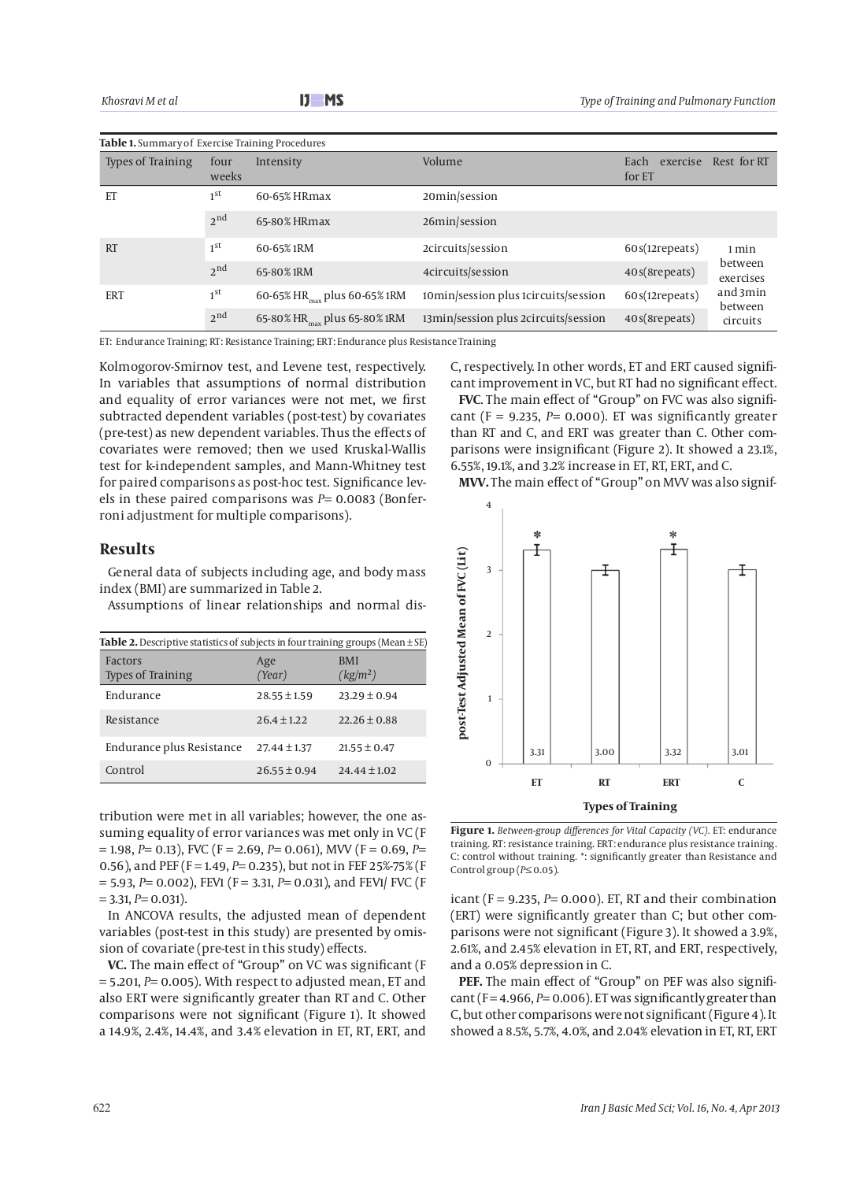| <b>Table 1.</b> Summary of Exercise Training Procedures |                 |                                          |                                      |                            |                      |  |  |
|---------------------------------------------------------|-----------------|------------------------------------------|--------------------------------------|----------------------------|----------------------|--|--|
| <b>Types of Training</b>                                | four<br>weeks   | Intensity                                | Volume                               | Each<br>exercise<br>for ET | Rest for RT          |  |  |
| ET                                                      | 1 <sup>st</sup> | 60-65% HRmax                             | 20min/session                        |                            |                      |  |  |
|                                                         | 2 <sub>nd</sub> | 65-80% HRmax                             | 26min/session                        |                            |                      |  |  |
| <b>RT</b>                                               | 1 <sup>st</sup> | 60-65% 1RM                               | 2circuits/session                    | 60s(12repeats)             | 1 min                |  |  |
|                                                         | 2 <sub>nd</sub> | 65-80% 1RM                               | 4circuits/session                    | 40s(8repeats)              | between<br>exercises |  |  |
| <b>ERT</b>                                              | 1 <sup>st</sup> | 60-65% HR <sub>max</sub> plus 60-65% 1RM | 10min/session plus 1circuits/session | 60s(12repeats)             | and 3min<br>between  |  |  |
|                                                         | 2 <sub>nd</sub> | 65-80% HR <sub>nnn</sub> plus 65-80% 1RM | 13min/session plus 2circuits/session | 40s(8repeats)              | circuits             |  |  |

ET: Endurance Training; RT: Resistance Training; ERT: Endurance plus Resistance Training

Kolmogorov-Smirnov test, and Levene test, respectively. In variables that assumptions of normal distribution and equality of error variances were not met, we first subtracted dependent variables (post-test) by covariates (pre-test) as new dependent variables. Thus the effects of covariates were removed; then we used Kruskal-Wallis test for k-independent samples, and Mann-Whitney test for paired comparisons as post-hoc test. Significance levels in these paired comparisons was *P=* 0.0083 (Bonferroni adjustment for multiple comparisons).

#### **Results**

General data of subjects including age, and body mass index (BMI) are summarized in Table 2.

Assumptions of linear relationships and normal dis-

| <b>Table 2.</b> Descriptive statistics of subjects in four training groups (Mean $\pm$ SE) |                  |                                    |  |  |  |
|--------------------------------------------------------------------------------------------|------------------|------------------------------------|--|--|--|
| Factors<br><b>Types of Training</b>                                                        | Age<br>(Year)    | <b>BMI</b><br>(kg/m <sup>2</sup> ) |  |  |  |
| Endurance                                                                                  | $28.55 \pm 1.59$ | $23.29 \pm 0.94$                   |  |  |  |
| Resistance                                                                                 | $26.4 \pm 1.22$  | $22.26 \pm 0.88$                   |  |  |  |
| Endurance plus Resistance                                                                  | $27.44 \pm 1.37$ | $21.55 \pm 0.47$                   |  |  |  |
| Control                                                                                    | $26.55 \pm 0.94$ | $24.44 \pm 1.02$                   |  |  |  |

tribution were met in all variables; however, the one assuming equality of error variances was met only in VC (F = 1.98, *P=* 0.13), FVC (F = 2.69, *P=* 0.061), MVV (F = 0.69, *P=* 0.56), and PEF (F = 1.49, *P=* 0.235), but not in FEF 25%-75% (F = 5.93, *P=* 0.002), FEV1 (F = 3.31, *P=* 0.031), and FEV1/ FVC (F = 3.31, *P=* 0.031).

In ANCOVA results, the adjusted mean of dependent variables (post-test in this study) are presented by omission of covariate (pre-test in this study) effects.

**VC.** The main effect of "Group" on VC was significant (F = 5.201, *P=* 0.005). With respect to adjusted mean, ET and also ERT were significantly greater than RT and C. Other comparisons were not significant (Figure 1). It showed a 14.9%, 2.4%, 14.4%, and 3.4% elevation in ET, RT, ERT, and C, respectively. In other words, ET and ERT caused significant improvement in VC, but RT had no significant effect.

**FVC**. The main effect of "Group" on FVC was also significant ( $F = 9.235$ ,  $P = 0.000$ ). ET was significantly greater than RT and C, and ERT was greater than C. Other comparisons were insignificant (Figure 2). It showed a 23.1%, 6.55%, 19.1%, and 3.2% increase in ET, RT, ERT, and C.

**MVV.** The main effect of "Group" on MVV was also signif-



**Figure 1.** *Between-group differences for Vital Capacity (VC).* ET: endurance training. RT: resistance training. ERT: endurance plus resistance training. C: control without training. \*: significantly greater than Resistance and Control group (*P≤* 0.05).

icant (F = 9.235, *P=* 0.000). ET, RT and their combination (ERT) were significantly greater than C; but other comparisons were not significant (Figure 3). It showed a 3.9%, 2.61%, and 2.45% elevation in ET, RT, and ERT, respectively, and a 0.05% depression in C.

**PEF.** The main effect of "Group" on PEF was also significant ( $F = 4.966$ ,  $P = 0.006$ ). ET was significantly greater than C, but other comparisons were not significant (Figure 4). It showed a 8.5%, 5.7%, 4.0%, and 2.04% elevation in ET, RT, ERT